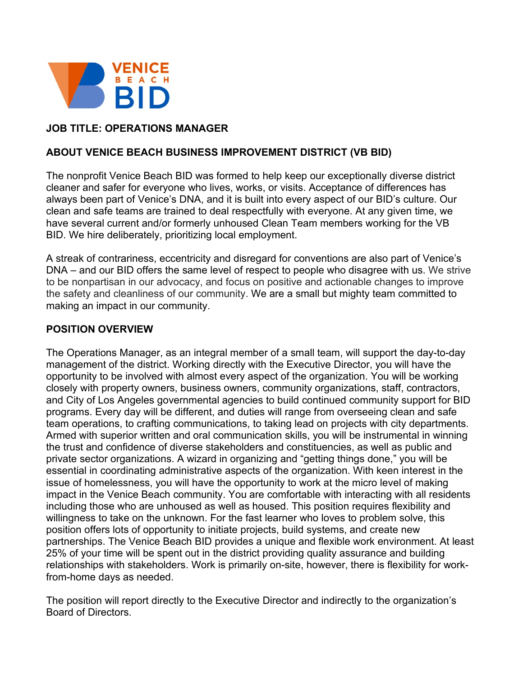

# **JOB TITLE: OPERATIONS MANAGER**

#### **ABOUT VENICE BEACH BUSINESS IMPROVEMENT DISTRICT (VB BID)**

The nonprofit Venice Beach BID was formed to help keep our exceptionally diverse district cleaner and safer for everyone who lives, works, or visits. Acceptance of differences has always been part of Venice's DNA, and it is built into every aspect of our BID's culture. Our clean and safe teams are trained to deal respectfully with everyone. At any given time, we have several current and/or formerly unhoused Clean Team members working for the VB BID. We hire deliberately, prioritizing local employment.

A streak of contrariness, eccentricity and disregard for conventions are also part of Venice's DNA – and our BID offers the same level of respect to people who disagree with us. We strive to be nonpartisan in our advocacy, and focus on positive and actionable changes to improve the safety and cleanliness of our community. We are a small but mighty team committed to making an impact in our community.

#### **POSITION OVERVIEW**

The Operations Manager, as an integral member of a small team, will support the day-to-day management of the district. Working directly with the Executive Director, you will have the opportunity to be involved with almost every aspect of the organization. You will be working closely with property owners, business owners, community organizations, staff, contractors, and City of Los Angeles governmental agencies to build continued community support for BID programs. Every day will be different, and duties will range from overseeing clean and safe team operations, to crafting communications, to taking lead on projects with city departments. Armed with superior written and oral communication skills, you will be instrumental in winning the trust and confidence of diverse stakeholders and constituencies, as well as public and private sector organizations. A wizard in organizing and "getting things done," you will be essential in coordinating administrative aspects of the organization. With keen interest in the issue of homelessness, you will have the opportunity to work at the micro level of making impact in the Venice Beach community. You are comfortable with interacting with all residents including those who are unhoused as well as housed. This position requires flexibility and willingness to take on the unknown. For the fast learner who loves to problem solve, this position offers lots of opportunity to initiate projects, build systems, and create new partnerships. The Venice Beach BID provides a unique and flexible work environment. At least 25% of your time will be spent out in the district providing quality assurance and building relationships with stakeholders. Work is primarily on-site, however, there is flexibility for workfrom-home days as needed.

The position will report directly to the Executive Director and indirectly to the organization's Board of Directors.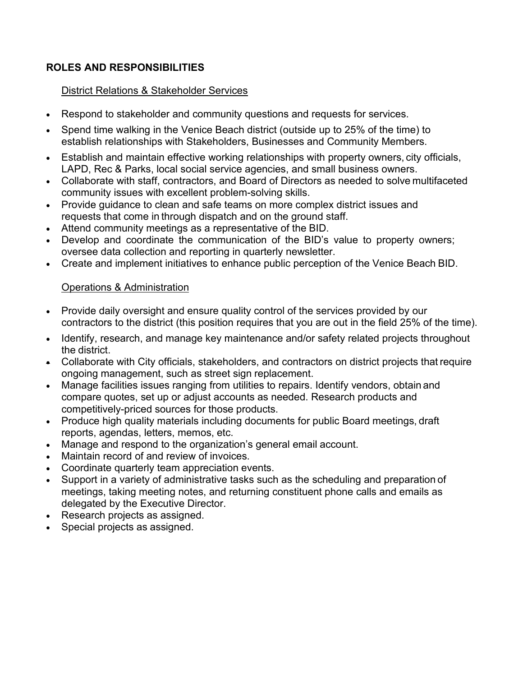# **ROLES AND RESPONSIBILITIES**

#### District Relations & Stakeholder Services

- Respond to stakeholder and community questions and requests for services.
- Spend time walking in the Venice Beach district (outside up to 25% of the time) to establish relationships with Stakeholders, Businesses and Community Members.
- Establish and maintain effective working relationships with property owners, city officials, LAPD, Rec & Parks, local social service agencies, and small business owners.
- Collaborate with staff, contractors, and Board of Directors as needed to solve multifaceted community issues with excellent problem-solving skills.
- Provide guidance to clean and safe teams on more complex district issues and requests that come in through dispatch and on the ground staff.
- Attend community meetings as a representative of the BID.
- Develop and coordinate the communication of the BID's value to property owners; oversee data collection and reporting in quarterly newsletter.
- Create and implement initiatives to enhance public perception of the Venice Beach BID.

# Operations & Administration

- Provide daily oversight and ensure quality control of the services provided by our contractors to the district (this position requires that you are out in the field 25% of the time).
- Identify, research, and manage key maintenance and/or safety related projects throughout the district.
- Collaborate with City officials, stakeholders, and contractors on district projects that require ongoing management, such as street sign replacement.
- Manage facilities issues ranging from utilities to repairs. Identify vendors, obtain and compare quotes, set up or adjust accounts as needed. Research products and competitively-priced sources for those products.
- Produce high quality materials including documents for public Board meetings, draft reports, agendas, letters, memos, etc.
- Manage and respond to the organization's general email account.
- Maintain record of and review of invoices.
- Coordinate quarterly team appreciation events.
- Support in a variety of administrative tasks such as the scheduling and preparation of meetings, taking meeting notes, and returning constituent phone calls and emails as delegated by the Executive Director.
- Research projects as assigned.
- Special projects as assigned.